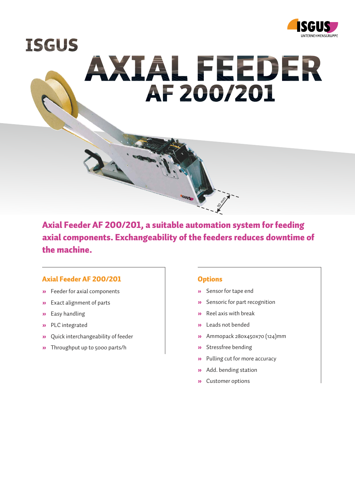

**ISGUS** AXIAL FEEDER AF 200/201

Axial Feeder AF 200/201, a suitable automation system for feeding axial components. Exchangeability of the feeders reduces downtime of the machine.

### Axial Feeder AF 200/201

- » Feeder for axial components
- » Exact alignment of parts
- » Easy handling
- » PLC integrated
- » Quick interchangeability of feeder
- » Throughput up to 5000 parts/h

#### **Options**

» Sensor for tape end

90 mm

- » Sensoric for part recognition
- » Reel axis with break
- » Leads not bended
- » Ammopack 280x450x70 (124)mm
- » Stressfree bending
- » Pulling cut for more accuracy
- » Add. bending station
- » Customer options